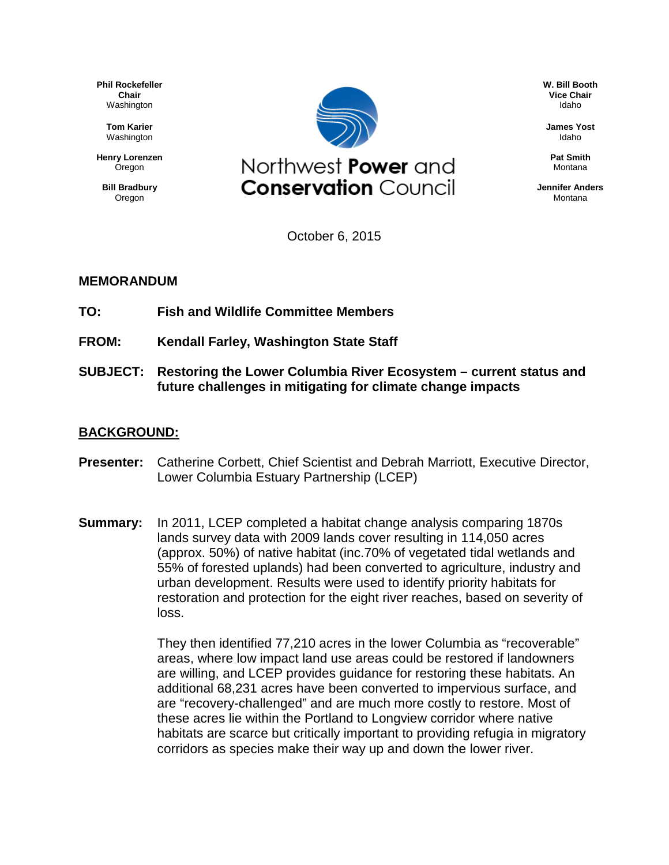**Phil Rockefeller Chair** Washington

> **Tom Karier** Washington

**Henry Lorenzen Oregon** 

**Bill Bradbury** Oregon



**W. Bill Booth Vice Chair** Idaho

**James Yost** Idaho

**Pat Smith** Montana

**Jennifer Anders Montana** 

October 6, 2015

## **MEMORANDUM**

- **TO: Fish and Wildlife Committee Members**
- **FROM: Kendall Farley, Washington State Staff**
- **SUBJECT: Restoring the Lower Columbia River Ecosystem – current status and future challenges in mitigating for climate change impacts**

## **BACKGROUND:**

- **Presenter:** Catherine Corbett, Chief Scientist and Debrah Marriott, Executive Director, Lower Columbia Estuary Partnership (LCEP)
- **Summary:** In 2011, LCEP completed a habitat change analysis comparing 1870s lands survey data with 2009 lands cover resulting in 114,050 acres (approx. 50%) of native habitat (inc.70% of vegetated tidal wetlands and 55% of forested uplands) had been converted to agriculture, industry and urban development. Results were used to identify priority habitats for restoration and protection for the eight river reaches, based on severity of loss.

They then identified 77,210 acres in the lower Columbia as "recoverable" areas, where low impact land use areas could be restored if landowners are willing, and LCEP provides guidance for restoring these habitats. An additional 68,231 acres have been converted to impervious surface, and are "recovery-challenged" and are much more costly to restore. Most of these acres lie within the Portland to Longview corridor where native habitats are scarce but critically important to providing refugia in migratory corridors as species make their way up and down the lower river.